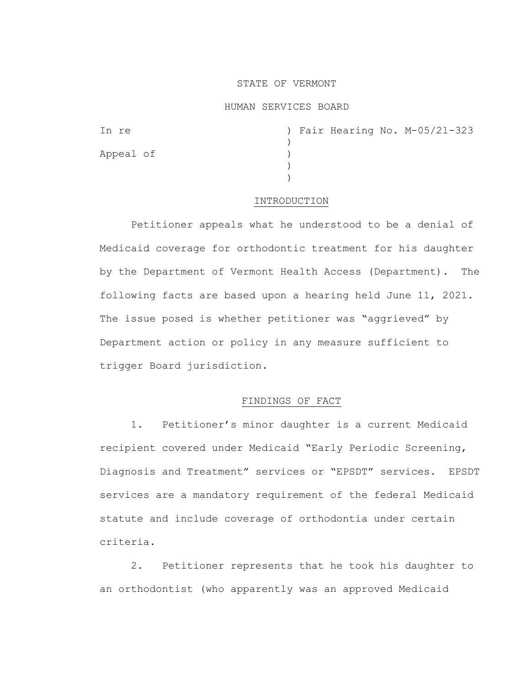## STATE OF VERMONT

## HUMAN SERVICES BOARD

| In re     |  |  | ) Fair Hearing No. M-05/21-323 |
|-----------|--|--|--------------------------------|
|           |  |  |                                |
| Appeal of |  |  |                                |
|           |  |  |                                |
|           |  |  |                                |

## INTRODUCTION

Petitioner appeals what he understood to be a denial of Medicaid coverage for orthodontic treatment for his daughter by the Department of Vermont Health Access (Department). The following facts are based upon a hearing held June 11, 2021. The issue posed is whether petitioner was "aggrieved" by Department action or policy in any measure sufficient to trigger Board jurisdiction.

# FINDINGS OF FACT

1. Petitioner's minor daughter is a current Medicaid recipient covered under Medicaid "Early Periodic Screening, Diagnosis and Treatment" services or "EPSDT" services. EPSDT services are a mandatory requirement of the federal Medicaid statute and include coverage of orthodontia under certain criteria.

2. Petitioner represents that he took his daughter to an orthodontist (who apparently was an approved Medicaid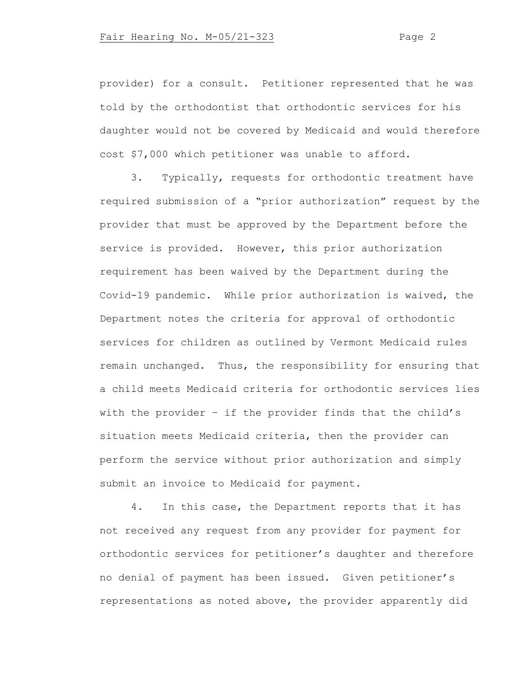provider) for a consult. Petitioner represented that he was told by the orthodontist that orthodontic services for his daughter would not be covered by Medicaid and would therefore cost \$7,000 which petitioner was unable to afford.

3. Typically, requests for orthodontic treatment have required submission of a "prior authorization" request by the provider that must be approved by the Department before the service is provided. However, this prior authorization requirement has been waived by the Department during the Covid-19 pandemic. While prior authorization is waived, the Department notes the criteria for approval of orthodontic services for children as outlined by Vermont Medicaid rules remain unchanged. Thus, the responsibility for ensuring that a child meets Medicaid criteria for orthodontic services lies with the provider – if the provider finds that the child's situation meets Medicaid criteria, then the provider can perform the service without prior authorization and simply submit an invoice to Medicaid for payment.

4. In this case, the Department reports that it has not received any request from any provider for payment for orthodontic services for petitioner's daughter and therefore no denial of payment has been issued. Given petitioner's representations as noted above, the provider apparently did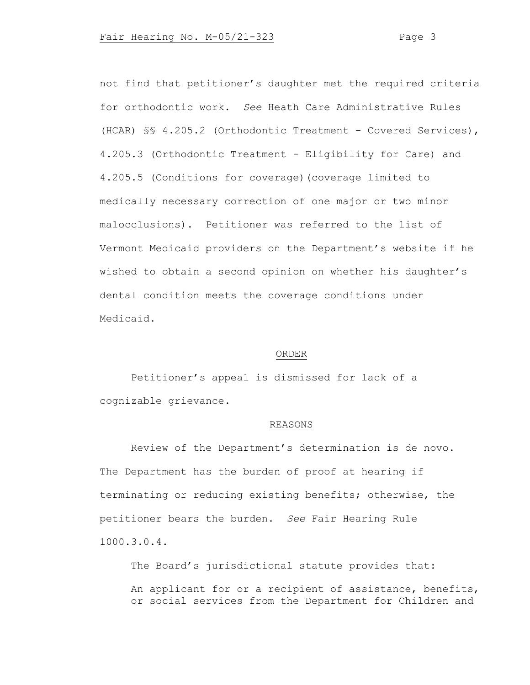not find that petitioner's daughter met the required criteria for orthodontic work. *See* Heath Care Administrative Rules (HCAR) §§ 4.205.2 (Orthodontic Treatment - Covered Services), 4.205.3 (Orthodontic Treatment - Eligibility for Care) and 4.205.5 (Conditions for coverage)(coverage limited to medically necessary correction of one major or two minor malocclusions). Petitioner was referred to the list of Vermont Medicaid providers on the Department's website if he wished to obtain a second opinion on whether his daughter's dental condition meets the coverage conditions under Medicaid.

#### ORDER

Petitioner's appeal is dismissed for lack of a cognizable grievance.

## REASONS

Review of the Department's determination is de novo. The Department has the burden of proof at hearing if terminating or reducing existing benefits; otherwise, the petitioner bears the burden. *See* Fair Hearing Rule 1000.3.0.4.

The Board's jurisdictional statute provides that: An applicant for or a recipient of assistance, benefits, or social services from the Department for Children and